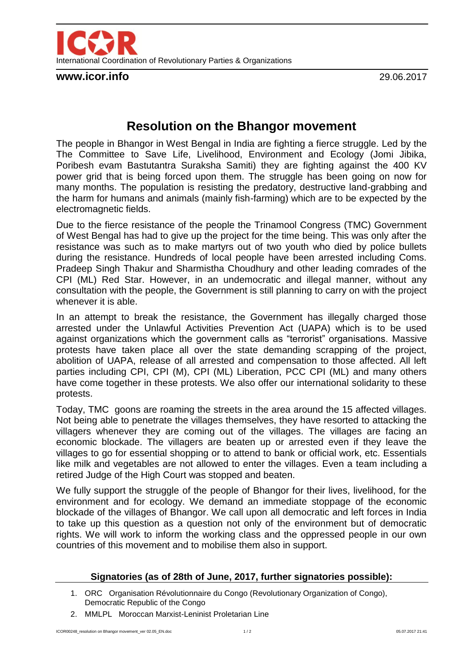

**www.icor.info** 29.06.2017

## **Resolution on the Bhangor movement**

The people in Bhangor in West Bengal in India are fighting a fierce struggle. Led by the The Committee to Save Life, Livelihood, Environment and Ecology (Jomi Jibika, Poribesh evam Bastutantra Suraksha Samiti) they are fighting against the 400 KV power grid that is being forced upon them. The struggle has been going on now for many months. The population is resisting the predatory, destructive land-grabbing and the harm for humans and animals (mainly fish-farming) which are to be expected by the electromagnetic fields.

Due to the fierce resistance of the people the Trinamool Congress (TMC) Government of West Bengal has had to give up the project for the time being. This was only after the resistance was such as to make martyrs out of two youth who died by police bullets during the resistance. Hundreds of local people have been arrested including Coms. Pradeep Singh Thakur and Sharmistha Choudhury and other leading comrades of the CPI (ML) Red Star. However, in an undemocratic and illegal manner, without any consultation with the people, the Government is still planning to carry on with the project whenever it is able.

In an attempt to break the resistance, the Government has illegally charged those arrested under the Unlawful Activities Prevention Act (UAPA) which is to be used against organizations which the government calls as "terrorist" organisations. Massive protests have taken place all over the state demanding scrapping of the project, abolition of UAPA, release of all arrested and compensation to those affected. All left parties including CPI, CPI (M), CPI (ML) Liberation, PCC CPI (ML) and many others have come together in these protests. We also offer our international solidarity to these protests.

Today, TMC goons are roaming the streets in the area around the 15 affected villages. Not being able to penetrate the villages themselves, they have resorted to attacking the villagers whenever they are coming out of the villages. The villages are facing an economic blockade. The villagers are beaten up or arrested even if they leave the villages to go for essential shopping or to attend to bank or official work, etc. Essentials like milk and vegetables are not allowed to enter the villages. Even a team including a retired Judge of the High Court was stopped and beaten.

We fully support the struggle of the people of Bhangor for their lives, livelihood, for the environment and for ecology. We demand an immediate stoppage of the economic blockade of the villages of Bhangor. We call upon all democratic and left forces in India to take up this question as a question not only of the environment but of democratic rights. We will work to inform the working class and the oppressed people in our own countries of this movement and to mobilise them also in support.

## **Signatories (as of 28th of June, 2017, further signatories possible):**

- 1. ORC Organisation Révolutionnaire du Congo (Revolutionary Organization of Congo), Democratic Republic of the Congo
- 2. MMLPL Moroccan Marxist-Leninist Proletarian Line